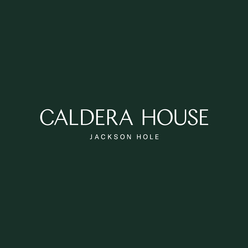# CALDERA HOUSE JACKSON HOLE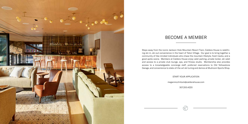

## BECOME A MEMBER

Steps away from the iconic Jackson Hole Mountain Resort Tram, Caldera House is redefining ski-in, ski-out convenience in the heart of Teton Village. Our goal is to bring together a community of like-minded individuals who chase the mountain lifestyle, fresh tracks, and a good après scene. Members at Caldera House enjoy valet parking, private locker, ski valet and access to a private club lounge, spa, and fitness studio. Membership also provides access to a knowledgeable concierge staff, preferred reservations to Old Yellowstone Garage, and convenience to state-of-the-art ski tuning and demos at Mudroom Sports Shop.

START YOUR APPLICATION

meganmcclintock@calderahouse.com

307.200.4220

P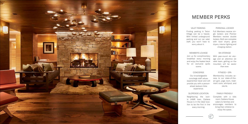## VALET PARKING

Finding parking in Teton Village can be a hassle. With limited underground parking and our car valet staff, you won't have to worry about it.

### PERSONAL LOCKER

Full Members receive single lockers and Premier Members recieve double lockers. Both are complete with boot dryers, glove dryers, interior lighting and charging station.



## MEMBER PERKS

## SKI STORAGE

With year-round ski storage and an attentive ski valet team, getting on the mountain will be easier than ever.

## CONCIERGE

Our knowledgeable concierge staff values experiential travel and will provide you with a personalized Jackson Hole experience.

### FAMILY-FRIENDLY

Complete with a kids room, Caldera House caters to families and encourages members to bring their children to enjoy the space.



### MEMBER'S LOUNGE

Join us for complimentary breakfast every morning and enjoy the heated deck for an exclusive après scene.

### SLOPESIDE LOCATION

Neighboring the iconic JHMR tram, Caldera House is in the ideal location to be the first in line every morning.

### FITNESS + SPA

Membership includes access to our state-of-theart gym, yoga room, treatment room, whirlpool, and sauna.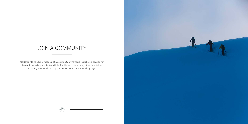## JOIN A COMMUNITY

Caldera's Alpine Club is made up of a community of members that share a passion for the outdoors, skiing, and Jackson Hole. The House hosts an array of social activities including member ski outtings, après parties and summer hiking days.

 $\widehat{\mathscr{C}}$ 

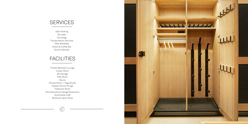## **SERVICES**

Valet Parking Ski Valet Concierge Transportation Services Daily Breakfast Snack & Coffee Bar Social Calendar

## **FACILITIES**

Private Members Lounge Locker Room Ski Storage Kids Room Sauna Fitness Room + Yoga Studio Heated Infinity Plunge Treatment Room Old Yellowstone Garage Restaurant Southcable Café Mudroom Sport Shop

 $\widehat{\mathscr{C}}$ 

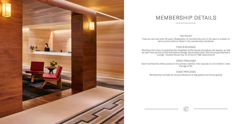FEE POLICY Fees are returned after 30 years. Resignation of membership prior to 30 years is subject to terms and conditions listed in the membership handbook.

## FOOD & BEVERAGE

Members can enjoy a complimentary breakfast buffet served throughout ski season, as well as cash-free service at Old Yellowstone Garage, Southcable Cafe, and the private Member's Lounge. Caldera House has no minimum F&B requirements.

## FAMILY PRIVILEGES

Each membership offers access to the primary member, their spouse or, and children under the age of 25.

GUEST PRIVILEGES Membership includes an annual allowance of day guests and house guests.





## MEMBERSHIP DETAILS